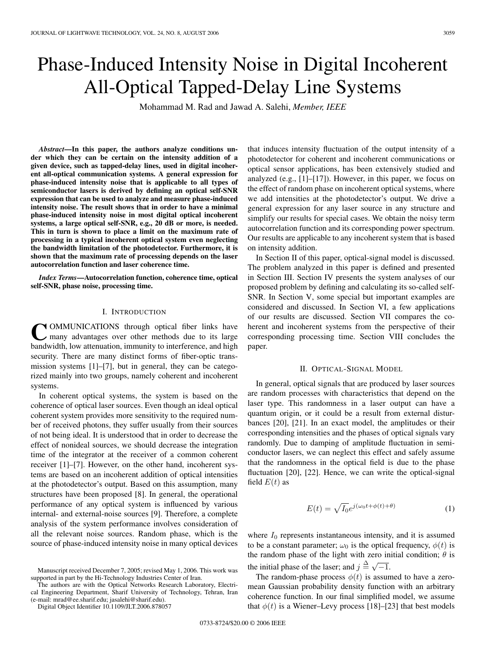# Phase-Induced Intensity Noise in Digital Incoherent All-Optical Tapped-Delay Line Systems

Mohammad M. Rad and Jawad A. Salehi, *Member, IEEE*

*Abstract***—In this paper, the authors analyze conditions under which they can be certain on the intensity addition of a given device, such as tapped-delay lines, used in digital incoherent all-optical communication systems. A general expression for phase-induced intensity noise that is applicable to all types of semiconductor lasers is derived by defining an optical self-SNR expression that can be used to analyze and measure phase-induced intensity noise. The result shows that in order to have a minimal phase-induced intensity noise in most digital optical incoherent systems, a large optical self-SNR, e.g., 20 dB or more, is needed. This in turn is shown to place a limit on the maximum rate of processing in a typical incoherent optical system even neglecting the bandwidth limitation of the photodetector. Furthermore, it is shown that the maximum rate of processing depends on the laser autocorrelation function and laser coherence time.**

*Index Terms***—Autocorrelation function, coherence time, optical self-SNR, phase noise, processing time.**

# I. INTRODUCTION

**COMMUNICATIONS** through optical fiber links have many advantages over other methods due to its large bandwidth, low attenuation, immunity to interference, and high security. There are many distinct forms of fiber-optic transmission systems [1]–[7], but in general, they can be categorized mainly into two groups, namely coherent and incoherent systems.

In coherent optical systems, the system is based on the coherence of optical laser sources. Even though an ideal optical coherent system provides more sensitivity to the required number of received photons, they suffer usually from their sources of not being ideal. It is understood that in order to decrease the effect of nonideal sources, we should decrease the integration time of the integrator at the receiver of a common coherent receiver [1]–[7]. However, on the other hand, incoherent systems are based on an incoherent addition of optical intensities at the photodetector's output. Based on this assumption, many structures have been proposed [8]. In general, the operational performance of any optical system is influenced by various internal- and external-noise sources [9]. Therefore, a complete analysis of the system performance involves consideration of all the relevant noise sources. Random phase, which is the source of phase-induced intensity noise in many optical devices

The authors are with the Optical Networks Research Laboratory, Electrical Engineering Department, Sharif University of Technology, Tehran, Iran (e-mail: mrad@ee.sharif.edu; jasalehi@sharif.edu).

Digital Object Identifier 10.1109/JLT.2006.878057

that induces intensity fluctuation of the output intensity of a photodetector for coherent and incoherent communications or optical sensor applications, has been extensively studied and analyzed (e.g., [1]–[17]). However, in this paper, we focus on the effect of random phase on incoherent optical systems, where we add intensities at the photodetector's output. We drive a general expression for any laser source in any structure and simplify our results for special cases. We obtain the noisy term autocorrelation function and its corresponding power spectrum. Our results are applicable to any incoherent system that is based on intensity addition.

In Section II of this paper, optical-signal model is discussed. The problem analyzed in this paper is defined and presented in Section III. Section IV presents the system analyses of our proposed problem by defining and calculating its so-called self-SNR. In Section V, some special but important examples are considered and discussed. In Section VI, a few applications of our results are discussed. Section VII compares the coherent and incoherent systems from the perspective of their corresponding processing time. Section VIII concludes the paper.

#### II. OPTICAL-SIGNAL MODEL

In general, optical signals that are produced by laser sources are random processes with characteristics that depend on the laser type. This randomness in a laser output can have a quantum origin, or it could be a result from external disturbances [20], [21]. In an exact model, the amplitudes or their corresponding intensities and the phases of optical signals vary randomly. Due to damping of amplitude fluctuation in semiconductor lasers, we can neglect this effect and safely assume that the randomness in the optical field is due to the phase fluctuation [20], [22]. Hence, we can write the optical-signal field  $E(t)$  as

$$
E(t) = \sqrt{I_0}e^{j(\omega_0 t + \phi(t) + \theta)}
$$
 (1)

where  $I_0$  represents instantaneous intensity, and it is assumed to be a constant parameter;  $\omega_0$  is the optical frequency,  $\phi(t)$  is the random phase of the light with zero initial condition;  $\theta$  is the initial phase of the laser; and  $j \triangleq \sqrt{-1}$ .

The random-phase process  $\phi(t)$  is assumed to have a zeromean Gaussian probability density function with an arbitrary coherence function. In our final simplified model, we assume that  $\phi(t)$  is a Wiener–Levy process [18]–[23] that best models

Manuscript received December 7, 2005; revised May 1, 2006. This work was supported in part by the Hi-Technology Industries Center of Iran.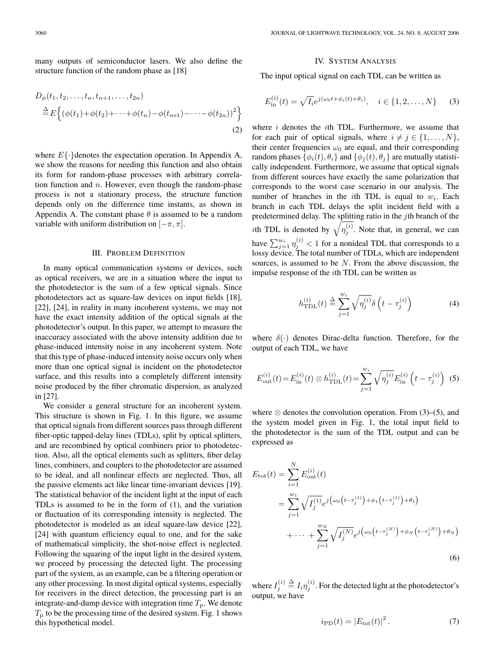many outputs of semiconductor lasers. We also define the structure function of the random phase as [18]

$$
D_{\phi}(t_1, t_2, \dots, t_n, t_{n+1}, \dots, t_{2n})
$$
  
\n
$$
\stackrel{\Delta}{=} E\Big\{ (\phi(t_1) + \phi(t_2) + \dots + \phi(t_n) - \phi(t_{n+1}) - \dots - \phi(t_{2n}))^2 \Big\}
$$
  
\n(2)

where  $E\{\cdot\}$  denotes the expectation operation. In Appendix A, we show the reasons for needing this function and also obtain its form for random-phase processes with arbitrary correlation function and  $n$ . However, even though the random-phase process is not a stationary process, the structure function depends only on the difference time instants, as shown in Appendix A. The constant phase  $\theta$  is assumed to be a random variable with uniform distribution on  $[-\pi, \pi]$ .

# III. PROBLEM DEFINITION

In many optical communication systems or devices, such as optical receivers, we are in a situation where the input to the photodetector is the sum of a few optical signals. Since photodetectors act as square-law devices on input fields [18], [22], [24], in reality in many incoherent systems, we may not have the exact intensity addition of the optical signals at the photodetector's output. In this paper, we attempt to measure the inaccuracy associated with the above intensity addition due to phase-induced intensity noise in any incoherent system. Note that this type of phase-induced intensity noise occurs only when more than one optical signal is incident on the photodetector surface, and this results into a completely different intensity noise produced by the fiber chromatic dispersion, as analyzed in [27].

We consider a general structure for an incoherent system. This structure is shown in Fig. 1. In this figure, we assume that optical signals from different sources pass through different fiber-optic tapped-delay lines (TDLs), split by optical splitters, and are recombined by optical combiners prior to photodetection. Also, all the optical elements such as splitters, fiber delay lines, combiners, and couplers to the photodetector are assumed to be ideal, and all nonlinear effects are neglected. Thus, all the passive elements act like linear time-invariant devices [19]. The statistical behavior of the incident light at the input of each TDLs is assumed to be in the form of (1), and the variation or fluctuation of its corresponding intensity is neglected. The photodetector is modeled as an ideal square-law device [22], [24] with quantum efficiency equal to one, and for the sake of mathematical simplicity, the shot-noise effect is neglected. Following the squaring of the input light in the desired system, we proceed by processing the detected light. The processing part of the system, as an example, can be a filtering operation or any other processing. In most digital optical systems, especially for receivers in the direct detection, the processing part is an integrate-and-dump device with integration time  $T<sub>p</sub>$ . We denote  $T<sub>p</sub>$  to be the processing time of the desired system. Fig. 1 shows this hypothetical model.

# IV. SYSTEM ANALYSIS

The input optical signal on each TDL can be written as

$$
E_{\text{in}}^{(i)}(t) = \sqrt{I_i} e^{j(\omega_0 t + \phi_i(t) + \theta_i)}, \quad i \in \{1, 2, \dots, N\}
$$
 (3)

where  $i$  denotes the  $i$ th TDL. Furthermore, we assume that for each pair of optical signals, where  $i \neq j \in \{1, \ldots, N\}$ , their center frequencies  $\omega_0$  are equal, and their corresponding random phases  $\{\phi_i(t), \theta_i\}$  and  $\{\phi_i(t), \theta_i\}$  are mutually statistically independent. Furthermore, we assume that optical signals from different sources have exactly the same polarization that corresponds to the worst case scenario in our analysis. The number of branches in the *i*th TDL is equal to  $w_i$ . Each branch in each TDL delays the split incident field with a predetermined delay. The splitting ratio in the  $j$ th branch of the *i*th TDL is denoted by  $\sqrt{\eta_i^{(i)}}$ . Note that, in general, we can have  $\sum_{j=1}^{w_i} \eta_j^{(i)} < 1$  for a nonideal TDL that corresponds to a lossy device. The total number of TDLs, which are independent sources, is assumed to be  $N$ . From the above discussion, the impulse response of the ith TDL can be written as

$$
h_{\text{TDL}}^{(i)}(t) \stackrel{\Delta}{=} \sum_{j=1}^{w_i} \sqrt{\eta_j^{(i)}} \delta\left(t - \tau_j^{(i)}\right) \tag{4}
$$

where  $\delta(\cdot)$  denotes Dirac-delta function. Therefore, for the output of each TDL, we have

$$
E_{\text{out}}^{(i)}(t) = E_{\text{in}}^{(i)}(t) \otimes h_{\text{TDL}}^{(i)}(t) = \sum_{j=1}^{w_i} \sqrt{\eta_j^{(i)}} E_{\text{in}}^{(i)} \left( t - \tau_j^{(i)} \right) (5)
$$

where  $\otimes$  denotes the convolution operation. From (3)–(5), and the system model given in Fig. 1, the total input field to the photodetector is the sum of the TDL output and can be expressed as

$$
E_{\text{tot}}(t) = \sum_{i=1}^{N} E_{\text{out}}^{(i)}(t)
$$
  
= 
$$
\sum_{j=1}^{w_1} \sqrt{I_j^{(1)}} e^{j \left( \omega_0 \left( t - \tau_j^{(1)} \right) + \phi_1 \left( t - \tau_j^{(1)} \right) + \theta_1 \right)}
$$
  
+ 
$$
\cdots + \sum_{j=1}^{w_N} \sqrt{I_j^{(N)}} e^{j \left( \omega_0 \left( t - \tau_j^{(N)} \right) + \phi_N \left( t - \tau_j^{(N)} \right) + \theta_N \right)}
$$
  
(6)

where  $I_i^{(i)} \stackrel{\Delta}{=} I_i \eta_i^{(i)}$ . For the detected light at the photodetector's output, we have

$$
i_{\rm PD}(t) = |E_{\rm tot}(t)|^2.
$$
 (7)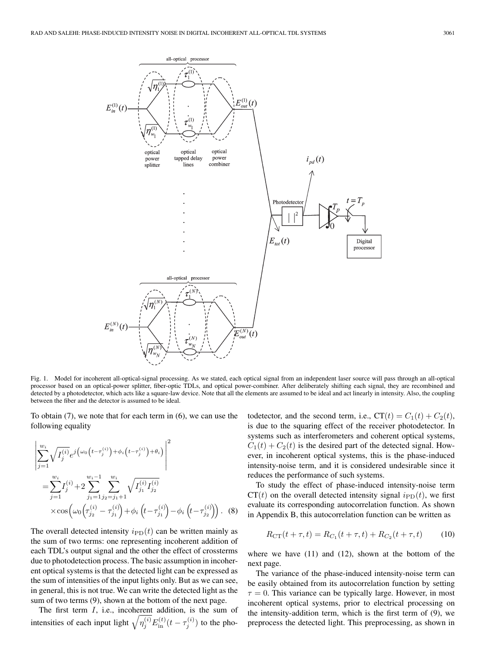

Fig. 1. Model for incoherent all-optical-signal processing. As we stated, each optical signal from an independent laser source will pass through an all-optical processor based on an optical-power splitter, fiber-optic TDLs, and optical power-combiner. After deliberately shifting each signal, they are recombined and detected by a photodetector, which acts like a square-law device. Note that all the elements are assumed to be ideal and act linearly in intensity. Also, the coupling between the fiber and the detector is assumed to be ideal.

To obtain (7), we note that for each term in (6), we can use the following equality

$$
\left| \sum_{j=1}^{w_i} \sqrt{I_j^{(i)}} e^{j \left( \omega_0 \left( t - \tau_j^{(i)} \right) + \phi_i \left( t - \tau_j^{(i)} \right) + \theta_i \right)} \right|^2
$$
\n
$$
= \sum_{j=1}^{w_i} I_j^{(i)} + 2 \sum_{j_1=1}^{w_i-1} \sum_{j_2=j_1+1}^{w_i} \sqrt{I_{j_1}^{(i)} I_{j_2}^{(i)}}
$$
\n
$$
\times \cos \left( \omega_0 \left( \tau_{j_2}^{(i)} - \tau_{j_1}^{(i)} \right) + \phi_i \left( t - \tau_{j_1}^{(i)} \right) - \phi_i \left( t - \tau_{j_2}^{(i)} \right) \right). \tag{8}
$$

The overall detected intensity  $i_{\text{PD}}(t)$  can be written mainly as the sum of two terms: one representing incoherent addition of each TDL's output signal and the other the effect of crossterms due to photodetection process. The basic assumption in incoherent optical systems is that the detected light can be expressed as the sum of intensities of the input lights only. But as we can see, in general, this is not true. We can write the detected light as the sum of two terms (9), shown at the bottom of the next page.

The first term  $I$ , i.e., incoherent addition, is the sum of intensities of each input light  $\sqrt{\eta_j^{(i)}} E_{\text{in}}^{(t)}(t-\tau_j^{(i)})$  to the pho-

todetector, and the second term, i.e.,  $CT(t) = C_1(t) + C_2(t)$ , is due to the squaring effect of the receiver photodetector. In systems such as interferometers and coherent optical systems,  $C_1(t) + C_2(t)$  is the desired part of the detected signal. However, in incoherent optical systems, this is the phase-induced intensity-noise term, and it is considered undesirable since it reduces the performance of such systems.

To study the effect of phase-induced intensity-noise term  $CT(t)$  on the overall detected intensity signal  $i_{\text{PD}}(t)$ , we first evaluate its corresponding autocorrelation function. As shown in Appendix B, this autocorrelation function can be written as

$$
R_{\rm CT}(t+\tau, t) = R_{C_1}(t+\tau, t) + R_{C_2}(t+\tau, t) \tag{10}
$$

where we have (11) and (12), shown at the bottom of the next page.

The variance of the phase-induced intensity-noise term can be easily obtained from its autocorrelation function by setting  $\tau = 0$ . This variance can be typically large. However, in most incoherent optical systems, prior to electrical processing on the intensity-addition term, which is the first term of (9), we preprocess the detected light. This preprocessing, as shown in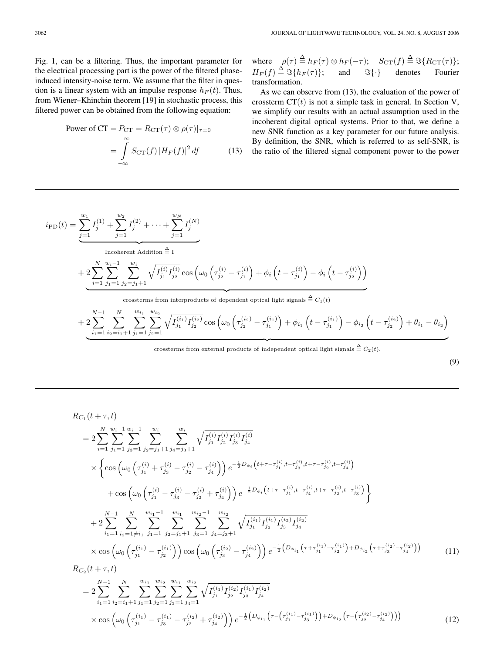Fig. 1, can be a filtering. Thus, the important parameter for the electrical processing part is the power of the filtered phaseinduced intensity-noise term. We assume that the filter in question is a linear system with an impulse response  $h_F(t)$ . Thus, from Wiener–Khinchin theorem [19] in stochastic process, this filtered power can be obtained from the following equation:

Power of CT = 
$$
P_{CT} = R_{CT}(\tau) \otimes \rho(\tau)|_{\tau=0}
$$
  
= 
$$
\int_{-\infty}^{\infty} S_{CT}(f) |H_F(f)|^2 df
$$
(13)

where  $\rho(\tau) \stackrel{\Delta}{=} h_F(\tau) \otimes h_F(-\tau); \quad S_{\text{CT}}(f) \stackrel{\Delta}{=} \Im\{R_{\text{CT}}(\tau)\};$  $H_F(f) \stackrel{\Delta}{=} \Im\{h_F(\tau)\};$  and  $\Im\{\cdot\}$  denotes Fourier transformation.

As we can observe from (13), the evaluation of the power of crossterm  $CT(t)$  is not a simple task in general. In Section V, we simplify our results with an actual assumption used in the incoherent digital optical systems. Prior to that, we define a new SNR function as a key parameter for our future analysis. By definition, the SNR, which is referred to as self-SNR, is the ratio of the filtered signal component power to the power

$$
i_{\text{PD}}(t) = \sum_{j=1}^{w_1} I_j^{(1)} + \sum_{j=1}^{w_2} I_j^{(2)} + \dots + \sum_{j=1}^{w_N} I_j^{(N)}
$$
  
\nIncoherent Addition  $\triangleq I$   
\n
$$
+ 2 \sum_{i=1}^{N} \sum_{j_1=1}^{w_i-1} \sum_{j_2=j_1+1}^{w_i} \sqrt{I_{j_1}^{(i)} I_{j_2}^{(i)}} \cos \left(\omega_0 \left(\tau_{j_2}^{(i)} - \tau_{j_1}^{(i)}\right) + \phi_i \left(t - \tau_{j_1}^{(i)}\right) - \phi_i \left(t - \tau_{j_2}^{(i)}\right)\right)
$$
  
\ncrossterms from interpolucts of dependent optical light signals  $\triangleq C_1(t)$   
\n
$$
+ 2 \sum_{i=1}^{N-1} \sum_{j=1}^{N} \sum_{j=1}^{w_{i_1}} \sum_{j=1}^{w_{i_2}} \sqrt{I_{j_1}^{(i_1)} I_{j_2}^{(i_2)}} \cos \left(\omega_0 \left(\tau_{j_2}^{(i_2)} - \tau_{j_1}^{(i_1)}\right) + \phi_i, \left(t - \tau_{j_1}^{(i_1)}\right) - \phi_i, \left(t - \tau_{j_2}^{(i_2)}\right) + \theta_i, -\theta_i
$$

$$
+2\sum_{i_1=1}\sum_{i_2=i_1+1}\sum_{j_1=1}^{\infty}\sum_{j_2=1}^{\infty}\sqrt{I_{j_1}^{(i_1)}I_{j_2}^{(i_2)}}\cos\left(\omega_0\left(\tau_{j_2}^{(i_2)}-\tau_{j_1}^{(i_1)}\right)+\phi_{i_1}\left(t-\tau_{j_1}^{(i_1)}\right)-\phi_{i_2}\left(t-\tau_{j_2}^{(i_2)}\right)+\theta_{i_1}-\theta_{i_2}\right)
$$

crossterms from external products of independent optical light signals  $\triangleq C_2(t)$ .

| ×<br>ł<br>۰.<br>۰,<br>۰. | I<br>I<br>I |
|--------------------------|-------------|

$$
R_{C_{1}}(t+\tau,t)
$$
\n
$$
=2\sum_{i=1}^{N}\sum_{j_{1}=1}^{w_{i}-1}\sum_{j_{2}=j_{1}+1}^{w_{i}}\sum_{j_{4}=j_{3}+1}^{w_{i}}\sqrt{I_{j_{1}}^{(i)}I_{j_{2}}^{(i)}I_{j_{3}}^{(i)}}I_{j_{4}}^{(i)}
$$
\n
$$
\times \left\{\cos\left(\omega_{0}\left(\tau_{j_{1}}^{(i)}+\tau_{j_{3}}^{(i)}-\tau_{j_{2}}^{(i)}-\tau_{j_{4}}^{(i)}\right)\right)e^{-\frac{1}{2}D_{\phi_{i}}\left(t+\tau-\tau_{j_{1}}^{(i)},t-\tau_{j_{3}}^{(i)},t+\tau-\tau_{j_{2}}^{(i)},t-\tau_{j_{4}}^{(i)}\right)} + \cos\left(\omega_{0}\left(\tau_{j_{1}}^{(i)}-\tau_{j_{3}}^{(i)}-\tau_{j_{2}}^{(i)}+\tau_{j_{4}}^{(i)}\right)\right)e^{-\frac{1}{2}D_{\phi_{i}}\left(t+\tau-\tau_{j_{1}}^{(i)},t-\tau_{j_{3}}^{(i)},t+\tau-\tau_{j_{2}}^{(i)},t-\tau_{j_{4}}^{(i)}\right)}\right\}
$$
\n
$$
+2\sum_{i_{1}=1}^{N-1}\sum_{i_{2}=1\neq i_{1}}^{N}\sum_{j_{1}=1}^{w_{i_{1}-1}}\sum_{j_{2}=j_{1}+1}^{w_{i_{1}}} \sum_{j_{3}=1}^{w_{i_{2}-1}}\sum_{j_{4}=j_{3}+1}^{w_{i_{2}}} \sqrt{I_{j_{1}}^{(i_{1})}I_{j_{2}}^{(i_{2})}I_{j_{3}}^{(i_{2})}}
$$
\n
$$
\times \cos\left(\omega_{0}\left(\tau_{j_{1}}^{(i_{1})}-\tau_{j_{2}}^{(i_{1})}\right)\right)\cos\left(\omega_{0}\left(\tau_{j_{3}}^{(i_{2})}-\tau_{j_{4}}^{(i_{2})}\right)\right)e^{-\frac{1}{2}\left(D_{\phi_{i_{1}}}\left(\tau+\tau_{j_{1}}^{(i_{1})}-\tau_{j_{2}}^{(i_{1})}\right)+D_{\phi_{i_{2}}}\left(\tau+\tau_{j_{3}}^{(i_{2})}-\tau_{j_{4}}^{(i_{2})}\right)\right)}
$$

$$
=2\sum_{i_1=1}\sum_{i_2=i_1+1}\sum_{j_1=1}\sum_{j_2=1}\sum_{j_3=1}\sum_{j_4=1}\sqrt{I_{j_1}^{(i_1)}I_{j_2}^{(i_2)}I_{j_3}^{(i_1)}I_{j_4}^{(i_2)}}\times \cos\left(\omega_0\left(\tau_{j_1}^{(i_1)}-\tau_{j_3}^{(i_1)}-\tau_{j_2}^{(i_2)}+\tau_{j_4}^{(i_2)}\right)\right)e^{-\frac{1}{2}\left(D_{\phi_{i_1}}\left(\tau-\left(\tau_{j_1}^{(i_1)}-\tau_{j_3}^{(i_1)}\right)\right)+D_{\phi_{i_2}}\left(\tau-\left(\tau_{j_2}^{(i_2)}-\tau_{j_4}^{(i_2)}\right)\right)\right)}
$$
(12)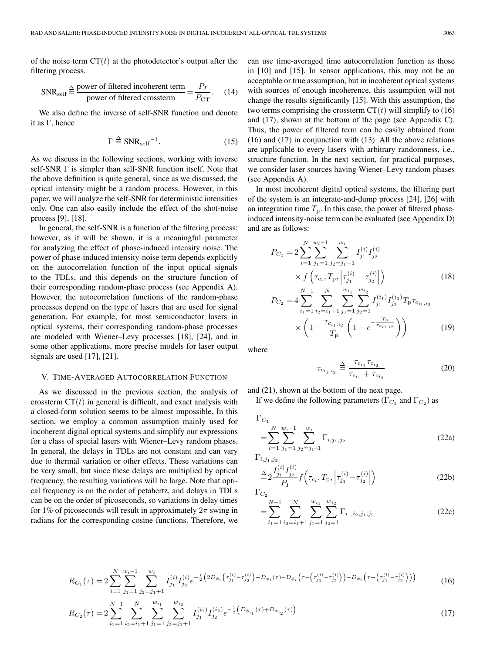of the noise term  $CT(t)$  at the photodetector's output after the filtering process.

$$
SNR_{self} \stackrel{\Delta}{=} \frac{\text{power of filtered incoherent term}}{\text{power of filtered crossterm}} = \frac{P_I}{P_{CT}}.
$$
 (14)

We also define the inverse of self-SNR function and denote it as Γ, hence

$$
\Gamma \stackrel{\Delta}{=} \text{SNR}_{\text{self}}^{-1}.\tag{15}
$$

As we discuss in the following sections, working with inverse self-SNR Γ is simpler than self-SNR function itself. Note that the above definition is quite general, since as we discussed, the optical intensity might be a random process. However, in this paper, we will analyze the self-SNR for deterministic intensities only. One can also easily include the effect of the shot-noise process [9], [18].

In general, the self-SNR is a function of the filtering process; however, as it will be shown, it is a meaningful parameter for analyzing the effect of phase-induced intensity noise. The power of phase-induced intensity-noise term depends explicitly on the autocorrelation function of the input optical signals to the TDLs, and this depends on the structure function of their corresponding random-phase process (see Appendix A). However, the autocorrelation functions of the random-phase processes depend on the type of lasers that are used for signal generation. For example, for most semiconductor lasers in optical systems, their corresponding random-phase processes are modeled with Wiener–Levy processes [18], [24], and in some other applications, more precise models for laser output signals are used [17], [21].

# V. TIME-AVERAGED AUTOCORRELATION FUNCTION

As we discussed in the previous section, the analysis of crossterm  $CT(t)$  in general is difficult, and exact analysis with a closed-form solution seems to be almost impossible. In this section, we employ a common assumption mainly used for incoherent digital optical systems and simplify our expressions for a class of special lasers with Wiener–Levy random phases. In general, the delays in TDLs are not constant and can vary due to thermal variation or other effects. These variations can be very small, but since these delays are multiplied by optical frequency, the resulting variations will be large. Note that optical frequency is on the order of petahertz, and delays in TDLs can be on the order of picoseconds, so variations in delay times for 1% of picoseconds will result in approximately  $2\pi$  swing in radians for the corresponding cosine functions. Therefore, we

can use time-averaged time autocorrelation function as those in [10] and [15]. In sensor applications, this may not be an acceptable or true assumption, but in incoherent optical systems with sources of enough incoherence, this assumption will not change the results significantly [15]. With this assumption, the two terms comprising the crossterm  $CT(t)$  will simplify to (16) and (17), shown at the bottom of the page (see Appendix C). Thus, the power of filtered term can be easily obtained from (16) and (17) in conjunction with (13). All the above relations are applicable to every lasers with arbitrary randomness, i.e., structure function. In the next section, for practical purposes, we consider laser sources having Wiener–Levy random phases (see Appendix A).

In most incoherent digital optical systems, the filtering part of the system is an integrate-and-dump process [24], [26] with an integration time  $T<sub>p</sub>$ . In this case, the power of filtered phaseinduced intensity-noise term can be evaluated (see Appendix D) and are as follows:

$$
P_{C_1} = 2 \sum_{i=1}^{N} \sum_{j_1=1}^{w_i-1} \sum_{j_2=j_1+1}^{w_i} I_{j_1}^{(i)} I_{j_2}^{(i)}
$$
  
\n
$$
\times f\left(\tau_{c_i}, T_{\rm p}, \left|\tau_{j_1}^{(i)} - \tau_{j_2}^{(i)}\right|\right)
$$
  
\n
$$
P_{C_2} = 4 \sum_{i_1=1}^{N-1} \sum_{i_2=i_1+1}^{N} \sum_{j_1=1}^{w_{i_1}} \sum_{j_2=1}^{w_{i_2}} I_{j_1}^{(i_1)} I_{j_2}^{(i_2)} T_{\rm p} \tau_{c_{i_1, i_2}}
$$
  
\n
$$
\times \left(1 - \frac{\tau_{c_{i_1, i_2}}}{T_{\rm p}} \left(1 - e^{-\frac{T_{\rm p}}{\tau_{c_{i_1, i_2}}}}\right)\right)
$$
(19)

where

$$
\tau_{c_{i_1, i_2}} \stackrel{\Delta}{=} \frac{\tau_{c_{i_1}} \tau_{c_{i_2}}}{\tau_{c_{i_1}} + \tau_{c_{i_2}}}
$$
\n(20)

and (21), shown at the bottom of the next page.

If we define the following parameters ( $\Gamma_{C_1}$  and  $\Gamma_{C_2}$ ) as

$$
\Gamma_{C_1}
$$
\n
$$
= \sum_{i=1}^{N} \sum_{j_1=1}^{w_i-1} \sum_{j_2=j_1+1}^{w_i} \Gamma_{i,j_1,j_2}
$$
\n(22a)

 $\Gamma_{i,j_1,j_2}$ 

$$
\stackrel{\Delta}{=} 2 \frac{I_{j_1}^{(i)} I_{j_2}^{(i)}}{P_I} f\left(\tau_{c_i}, T_{\rm p}, \left| \tau_{j_1}^{(i)} - \tau_{j_2}^{(i)} \right| \right) \tag{22b}
$$

$$
= \sum_{i_1=1}^{N-1} \sum_{i_2=i_1+1}^{N} \sum_{j_1=1}^{w_{i_1}} \sum_{j_2=1}^{w_{i_2}} \Gamma_{i_1, i_2, j_1, j_2}
$$
 (22c)

$$
R_{C_1}(\tau) = 2 \sum_{i=1}^{N} \sum_{j_1=1}^{w_i-1} \sum_{j_2=j_1+1}^{w_i} I_{j_1}^{(i)} I_{j_2}^{(i)} e^{-\frac{1}{2} \left(2D_{\phi_i} \left(\tau_{j_1}^{(i)} - \tau_{j_2}^{(i)}\right) + D_{\phi_i}(\tau) - D_{\phi_i} \left(\tau - \left(\tau_{j_1}^{(i)} - \tau_{j_2}^{(i)}\right)\right) - D_{\phi_i} \left(\tau + \left(\tau_{j_1}^{(i)} - \tau_{j_2}^{(i)}\right)\right)\right)}
$$
(16)

$$
R_{C_2}(\tau) = 2 \sum_{i_1=1}^{N-1} \sum_{i_2=i_1+1}^{N} \sum_{j_1=1}^{w_{i_1}} \sum_{j_2=j_1+1}^{w_{i_2}} I_{j_1}^{(i_1)} I_{j_2}^{(i_2)} e^{-\frac{1}{2} \left( D_{\phi_{i_1}}(\tau) + D_{\phi_{i_2}}(\tau) \right)} \tag{17}
$$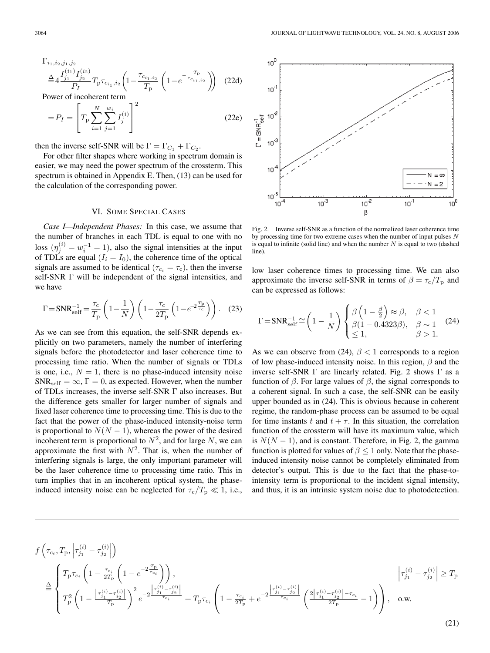$$
\Gamma_{i_1, i_2, j_1, j_2} \stackrel{\Delta}{=} 4 \frac{I_{j_1}^{(i_1)} I_{j_2}^{(i_2)}}{P_I} T_p \tau_{c_{i_1}, i_2} \left( 1 - \frac{\tau_{c_{i_1, i_2}}}{T_p} \left( 1 - e^{-\frac{T_p}{\tau_{c_{i_1, i_2}}}} \right) \right)
$$
 (22d)

Power of incoherent term

$$
=P_{I} = \left[T_{\rm p} \sum_{i=1}^{N} \sum_{j=1}^{w_{i}} I_{j}^{(i)}\right]^{2}
$$
 (22e)

then the inverse self-SNR will be  $\Gamma = \Gamma_{C_1} + \Gamma_{C_2}$ .

For other filter shapes where working in spectrum domain is easier, we may need the power spectrum of the crossterm. This spectrum is obtained in Appendix E. Then, (13) can be used for the calculation of the corresponding power.

## VI. SOME SPECIAL CASES

*Case I—Independent Phases:* In this case, we assume that the number of branches in each TDL is equal to one with no loss  $(\eta_i^{(i)} = w_i^{-1} = 1)$ , also the signal intensities at the input of TDLs are equal  $(I_i = I_0)$ , the coherence time of the optical signals are assumed to be identical ( $\tau_{c_i} = \tau_c$ ), then the inverse self-SNR Γ will be independent of the signal intensities, and we have

$$
\Gamma = \text{SNR}_{\text{self}}^{-1} = \frac{\tau_{\text{c}}}{T_{\text{p}}} \left( 1 - \frac{1}{N} \right) \left( 1 - \frac{\tau_{\text{c}}}{2T_{\text{p}}} \left( 1 - e^{-2 \frac{T_{\text{p}}}{\tau_{\text{c}}}} \right) \right). \quad (23)
$$

As we can see from this equation, the self-SNR depends explicitly on two parameters, namely the number of interfering signals before the photodetector and laser coherence time to processing time ratio. When the number of signals or TDLs is one, i.e.,  $N = 1$ , there is no phase-induced intensity noise  $SNR_{self} = \infty$ ,  $\Gamma = 0$ , as expected. However, when the number of TDLs increases, the inverse self-SNR Γ also increases. But the difference gets smaller for larger number of signals and fixed laser coherence time to processing time. This is due to the fact that the power of the phase-induced intensity-noise term is proportional to  $N(N-1)$ , whereas the power of the desired incoherent term is proportional to  $N^2$ , and for large N, we can approximate the first with  $N^2$ . That is, when the number of interfering signals is large, the only important parameter will be the laser coherence time to processing time ratio. This in turn implies that in an incoherent optical system, the phaseinduced intensity noise can be neglected for  $\tau_c/T_p \ll 1$ , i.e.,



Fig. 2. Inverse self-SNR as a function of the normalized laser coherence time by processing time for two extreme cases when the number of input pulses  $N$ is equal to infinite (solid line) and when the number  $N$  is equal to two (dashed line).

low laser coherence times to processing time. We can also approximate the inverse self-SNR in terms of  $\beta = \tau_c/T_p$  and can be expressed as follows:

$$
\Gamma = \text{SNR}_{\text{self}}^{-1} \cong \left(1 - \frac{1}{N}\right) \begin{cases} \beta \left(1 - \frac{\beta}{2}\right) \approx \beta, & \beta < 1\\ \beta(1 - 0.4323\beta), & \beta \sim 1\\ \leq 1, & \beta > 1. \end{cases}
$$
 (24)

As we can observe from (24),  $\beta$  < 1 corresponds to a region of low phase-induced intensity noise. In this region,  $\beta$  and the inverse self-SNR Γ are linearly related. Fig. 2 shows Γ as a function of β. For large values of β, the signal corresponds to a coherent signal. In such a case, the self-SNR can be easily upper bounded as in (24). This is obvious because in coherent regime, the random-phase process can be assumed to be equal for time instants t and  $t + \tau$ . In this situation, the correlation function of the crossterm will have its maximum value, which is  $N(N-1)$ , and is constant. Therefore, in Fig. 2, the gamma function is plotted for values of  $\beta$  < 1 only. Note that the phaseinduced intensity noise cannot be completely eliminated from detector's output. This is due to the fact that the phase-tointensity term is proportional to the incident signal intensity, and thus, it is an intrinsic system noise due to photodetection.

(21)

$$
\begin{split} &f\left(\tau_{c_i},T_{\rm p},\left|\tau_{j_1}^{(i)}-\tau_{j_2}^{(i)}\right|\right)\\ &\overset{\Delta}{=}\left\{\begin{aligned} &T_{\rm p}\tau_{c_i}\left(1-\frac{\tau_{c_i}}{2T_{\rm p}}\left(1-e^{-2\frac{T_{\rm p}}{\tau_{c_i}}}\right)\right),\\ &T_{\rm p}^{2}\left(1-\frac{\left|\tau_{j_1}^{(i)}-\tau_{j_2}^{(i)}\right|}{T_{\rm p}}\right)^2 e^{-2\frac{\left|\tau_{j_1}^{(i)}-\tau_{j_2}^{(i)}\right|}{\tau_{c_i}}}+T_{\rm p}\tau_{c_i}\left(1-\frac{\tau_{c_i}}{2T_{\rm p}}+e^{-2\frac{\left|\tau_{j_1}^{(i)}-\tau_{j_2}^{(i)}\right|}{\tau_{c_i}}}\left(\frac{2\left|\tau_{j_1}^{(i)}-\tau_{j_2}^{(i)}\right|-\tau_{c_i}}{2T_{\rm p}}-1\right)\right),\quad\text{o.w.}\end{aligned}\right.
$$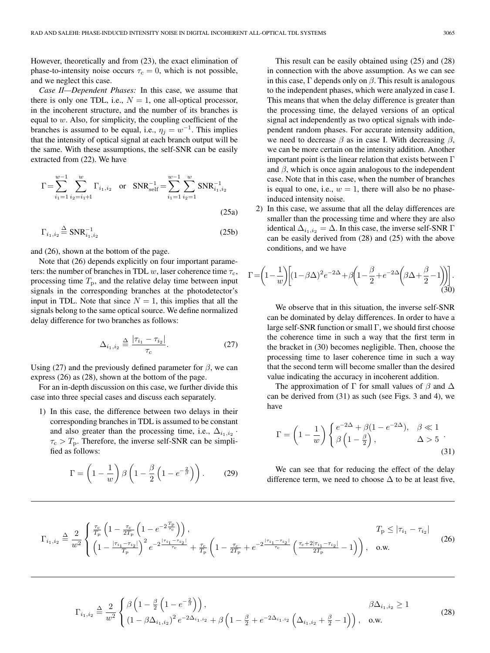However, theoretically and from (23), the exact elimination of phase-to-intensity noise occurs  $\tau_c = 0$ , which is not possible, and we neglect this case.

*Case II—Dependent Phases:* In this case, we assume that there is only one TDL, i.e.,  $N = 1$ , one all-optical processor, in the incoherent structure, and the number of its branches is equal to w. Also, for simplicity, the coupling coefficient of the branches is assumed to be equal, i.e.,  $\eta_i = w^{-1}$ . This implies that the intensity of optical signal at each branch output will be the same. With these assumptions, the self-SNR can be easily extracted from (22). We have

$$
\Gamma = \sum_{i_1=1}^{w-1} \sum_{i_2=i_1+1}^{w} \Gamma_{i_1,i_2} \quad \text{or} \quad \text{SNR}_{\text{self}}^{-1} = \sum_{i_1=1}^{w-1} \sum_{i_2=1}^{w} \text{SNR}_{i_1,i_2}^{-1}
$$
\n
$$
(25a)
$$

$$
\Gamma_{i_1, i_2} \stackrel{\Delta}{=} \text{SNR}_{i_1, i_2}^{-1} \tag{25b}
$$

and (26), shown at the bottom of the page.

Note that (26) depends explicitly on four important parameters: the number of branches in TDL w, laser coherence time  $\tau_c$ , processing time  $T_p$ , and the relative delay time between input signals in the corresponding branches at the photodetector's input in TDL. Note that since  $N = 1$ , this implies that all the signals belong to the same optical source. We define normalized delay difference for two branches as follows:

$$
\Delta_{i_1, i_2} \stackrel{\Delta}{=} \frac{|\tau_{i_1} - \tau_{i_2}|}{\tau_{\rm c}}.
$$
\n(27)

Using (27) and the previously defined parameter for  $\beta$ , we can express (26) as (28), shown at the bottom of the page.

For an in-depth discussion on this case, we further divide this case into three special cases and discuss each separately.

1) In this case, the difference between two delays in their corresponding branches in TDL is assumed to be constant and also greater than the processing time, i.e.,  $\Delta_{i_1,i_2}$ .  $\tau_c > T_p$ . Therefore, the inverse self-SNR can be simplified as follows:

$$
\Gamma = \left(1 - \frac{1}{w}\right)\beta \left(1 - \frac{\beta}{2}\left(1 - e^{-\frac{2}{\beta}}\right)\right). \tag{29}
$$

This result can be easily obtained using (25) and (28) in connection with the above assumption. As we can see in this case,  $\Gamma$  depends only on  $\beta$ . This result is analogous to the independent phases, which were analyzed in case I. This means that when the delay difference is greater than the processing time, the delayed versions of an optical signal act independently as two optical signals with independent random phases. For accurate intensity addition, we need to decrease  $\beta$  as in case I. With decreasing  $\beta$ , we can be more certain on the intensity addition. Another important point is the linear relation that exists between  $\Gamma$ and  $\beta$ , which is once again analogous to the independent case. Note that in this case, when the number of branches is equal to one, i.e.,  $w = 1$ , there will also be no phaseinduced intensity noise.

2) In this case, we assume that all the delay differences are smaller than the processing time and where they are also identical  $\Delta_{i_1,i_2} = \Delta$ . In this case, the inverse self-SNR  $\Gamma$ can be easily derived from (28) and (25) with the above conditions, and we have

$$
\Gamma = \left(1 - \frac{1}{w}\right) \left[ (1 - \beta \Delta)^2 e^{-2\Delta} + \beta \left(1 - \frac{\beta}{2} + e^{-2\Delta} \left(\beta \Delta + \frac{\beta}{2} - 1\right)\right) \right].
$$
\n(30)

We observe that in this situation, the inverse self-SNR can be dominated by delay differences. In order to have a large self-SNR function or small  $\Gamma$ , we should first choose the coherence time in such a way that the first term in the bracket in (30) becomes negligible. Then, choose the processing time to laser coherence time in such a way that the second term will become smaller than the desired value indicating the accuracy in incoherent addition.

The approximation of  $\Gamma$  for small values of  $\beta$  and  $\Delta$ can be derived from (31) as such (see Figs. 3 and 4), we have

$$
\Gamma = \left(1 - \frac{1}{w}\right) \begin{cases} e^{-2\Delta} + \beta(1 - e^{-2\Delta}), & \beta \ll 1\\ \beta\left(1 - \frac{\beta}{2}\right), & \Delta > 5 \end{cases} \tag{31}
$$

We can see that for reducing the effect of the delay difference term, we need to choose  $\Delta$  to be at least five,

$$
\Gamma_{i_1, i_2} \triangleq \frac{2}{w^2} \begin{cases} \frac{\tau_c}{T_p} \left( 1 - \frac{\tau_c}{2T_p} \left( 1 - e^{-2\frac{T_p}{\tau_c}} \right) \right), & T_p \le |\tau_{i_1} - \tau_{i_2}| \\ \left( 1 - \frac{|\tau_{i_1} - \tau_{i_2}|}{T_p} \right)^2 e^{-2\frac{|\tau_{i_1} - \tau_{i_2}|}{\tau_c}} + \frac{\tau_c}{T_p} \left( 1 - \frac{\tau_c}{2T_p} + e^{-2\frac{|\tau_{i_1} - \tau_{i_2}|}{\tau_c}} \left( \frac{\tau_c + 2|\tau_{i_1} - \tau_{i_2}|}{2T_p} - 1 \right) \right), & \text{o.w.} \end{cases}
$$
(26)

$$
\Gamma_{i_1, i_2} \stackrel{\Delta}{=} \frac{2}{w^2} \begin{cases} \beta \left( 1 - \frac{\beta}{2} \left( 1 - e^{-\frac{2}{\beta}} \right) \right), & \beta \Delta_{i_1, i_2} \ge 1 \\ \left( 1 - \beta \Delta_{i_1, i_2} \right)^2 e^{-2\Delta_{i_1, i_2}} + \beta \left( 1 - \frac{\beta}{2} + e^{-2\Delta_{i_1, i_2}} \left( \Delta_{i_1, i_2} + \frac{\beta}{2} - 1 \right) \right), & \text{o.w.} \end{cases}
$$
(28)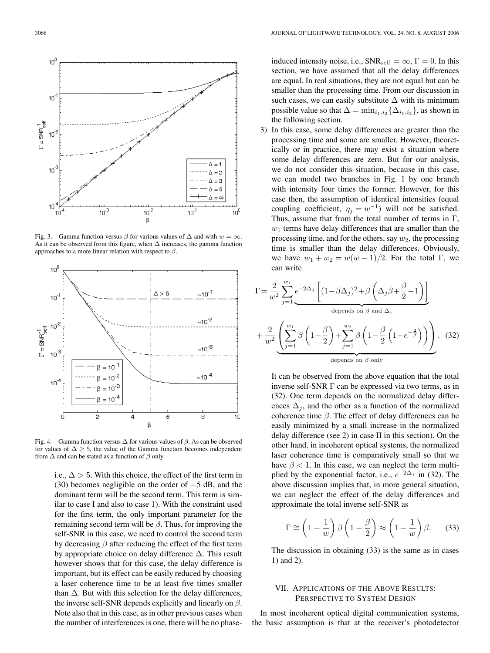

Fig. 3. Gamma function versus  $\beta$  for various values of  $\Delta$  and with  $w = \infty$ . As it can be observed from this figure, when ∆ increases, the gamma function approaches to a more linear relation with respect to  $\beta$ .



Fig. 4. Gamma function versus  $\Delta$  for various values of  $\beta$ . As can be observed for values of  $\Delta \geq 5$ , the value of the Gamma function becomes independent from  $\Delta$  and can be stated as a function of  $\beta$  only.

i.e.,  $\Delta > 5$ . With this choice, the effect of the first term in (30) becomes negligible on the order of −5 dB, and the dominant term will be the second term. This term is similar to case I and also to case 1). With the constraint used for the first term, the only important parameter for the remaining second term will be  $\beta$ . Thus, for improving the self-SNR in this case, we need to control the second term by decreasing  $\beta$  after reducing the effect of the first term by appropriate choice on delay difference ∆. This result however shows that for this case, the delay difference is important, but its effect can be easily reduced by choosing a laser coherence time to be at least five times smaller than  $\Delta$ . But with this selection for the delay differences, the inverse self-SNR depends explicitly and linearly on  $\beta$ . Note also that in this case, as in other previous cases when the number of interferences is one, there will be no phaseinduced intensity noise, i.e.,  $\text{SNR}_{\text{self}} = \infty$ ,  $\Gamma = 0$ . In this section, we have assumed that all the delay differences are equal. In real situations, they are not equal but can be smaller than the processing time. From our discussion in such cases, we can easily substitute  $\Delta$  with its minimum possible value so that  $\Delta = \min_{i_1,i_2} {\Delta_{i_1,i_2}}$ , as shown in the following section.

3) In this case, some delay differences are greater than the processing time and some are smaller. However, theoretically or in practice, there may exist a situation where some delay differences are zero. But for our analysis, we do not consider this situation, because in this case, we can model two branches in Fig. 1 by one branch with intensity four times the former. However, for this case then, the assumption of identical intensities (equal coupling coefficient,  $\eta_j = w^{-1}$ ) will not be satisfied. Thus, assume that from the total number of terms in  $\Gamma$ ,  $w_1$  terms have delay differences that are smaller than the processing time, and for the others, say  $w_2$ , the processing time is smaller than the delay differences. Obviously, we have  $w_1 + w_2 = w(w - 1)/2$ . For the total Γ, we can write

$$
\Gamma = \frac{2}{w^2} \sum_{j=1}^{w_1} e^{-2\Delta_j} \left[ (1 - \beta \Delta_j)^2 + \beta \left( \Delta_j \beta + \frac{\beta}{2} - 1 \right) \right]
$$
  
depends on  $\beta$  and  $\Delta_j$   
+  $\frac{2}{w^2} \underbrace{\left( \sum_{j=1}^{w_1} \beta \left( 1 - \frac{\beta}{2} \right) + \sum_{j=1}^{w_2} \beta \left( 1 - \frac{\beta}{2} \left( 1 - e^{-\frac{2}{\beta}} \right) \right) \right)}_{\text{depends on } \beta \text{ only}}.$  (32)

It can be observed from the above equation that the total inverse self-SNR Γ can be expressed via two terms, as in (32). One term depends on the normalized delay differences  $\Delta_i$ , and the other as a function of the normalized coherence time  $β$ . The effect of delay differences can be easily minimized by a small increase in the normalized delay difference (see 2) in case II in this section). On the other hand, in incoherent optical systems, the normalized laser coherence time is comparatively small so that we have  $\beta$  < 1. In this case, we can neglect the term multiplied by the exponential factor, i.e.,  $e^{-2\Delta_j}$  in (32). The above discussion implies that, in more general situation, we can neglect the effect of the delay differences and approximate the total inverse self-SNR as

$$
\Gamma \cong \left(1 - \frac{1}{w}\right) \beta \left(1 - \frac{\beta}{2}\right) \approx \left(1 - \frac{1}{w}\right) \beta. \tag{33}
$$

The discussion in obtaining (33) is the same as in cases 1) and 2).

# VII. APPLICATIONS OF THE ABOVE RESULTS: PERSPECTIVE TO SYSTEM DESIGN

In most incoherent optical digital communication systems, the basic assumption is that at the receiver's photodetector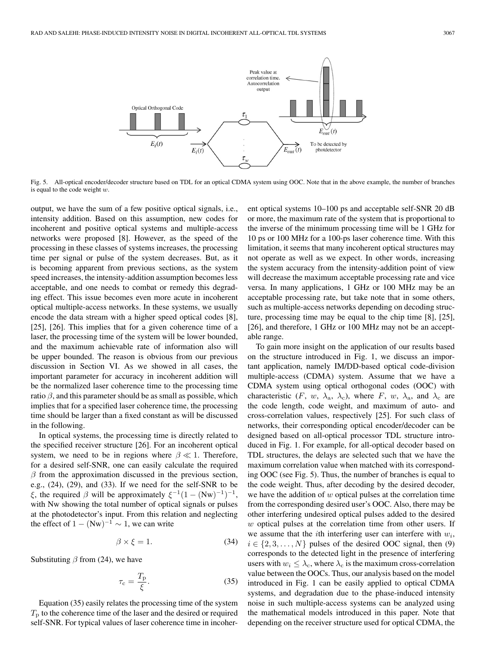

Fig. 5. All-optical encoder/decoder structure based on TDL for an optical CDMA system using OOC. Note that in the above example, the number of branches is equal to the code weight  $w$ .

output, we have the sum of a few positive optical signals, i.e., intensity addition. Based on this assumption, new codes for incoherent and positive optical systems and multiple-access networks were proposed [8]. However, as the speed of the processing in these classes of systems increases, the processing time per signal or pulse of the system decreases. But, as it is becoming apparent from previous sections, as the system speed increases, the intensity-addition assumption becomes less acceptable, and one needs to combat or remedy this degrading effect. This issue becomes even more acute in incoherent optical multiple-access networks. In these systems, we usually encode the data stream with a higher speed optical codes [8], [25], [26]. This implies that for a given coherence time of a laser, the processing time of the system will be lower bounded, and the maximum achievable rate of information also will be upper bounded. The reason is obvious from our previous discussion in Section VI. As we showed in all cases, the important parameter for accuracy in incoherent addition will be the normalized laser coherence time to the processing time ratio  $\beta$ , and this parameter should be as small as possible, which implies that for a specified laser coherence time, the processing time should be larger than a fixed constant as will be discussed in the following.

In optical systems, the processing time is directly related to the specified receiver structure [26]. For an incoherent optical system, we need to be in regions where  $\beta \ll 1$ . Therefore, for a desired self-SNR, one can easily calculate the required  $\beta$  from the approximation discussed in the previous section, e.g., (24), (29), and (33). If we need for the self-SNR to be ξ, the required β will be approximately  $\xi^{-1}(1 - (Nw)^{-1})^{-1}$ , with Nw showing the total number of optical signals or pulses at the photodetector's input. From this relation and neglecting the effect of  $1 - (Nw)^{-1} \sim 1$ , we can write

$$
\beta \times \xi = 1. \tag{34}
$$

Substituting  $\beta$  from (24), we have

$$
\tau_{\rm c} = \frac{T_{\rm p}}{\xi}.\tag{35}
$$

Equation (35) easily relates the processing time of the system  $T<sub>p</sub>$  to the coherence time of the laser and the desired or required self-SNR. For typical values of laser coherence time in incoherent optical systems 10–100 ps and acceptable self-SNR 20 dB or more, the maximum rate of the system that is proportional to the inverse of the minimum processing time will be 1 GHz for 10 ps or 100 MHz for a 100-ps laser coherence time. With this limitation, it seems that many incoherent optical structures may not operate as well as we expect. In other words, increasing the system accuracy from the intensity-addition point of view will decrease the maximum acceptable processing rate and vice versa. In many applications, 1 GHz or 100 MHz may be an acceptable processing rate, but take note that in some others, such as multiple-access networks depending on decoding structure, processing time may be equal to the chip time [8], [25], [26], and therefore, 1 GHz or 100 MHz may not be an acceptable range.

To gain more insight on the application of our results based on the structure introduced in Fig. 1, we discuss an important application, namely IM/DD-based optical code-division multiple-access (CDMA) system. Assume that we have a CDMA system using optical orthogonal codes (OOC) with characteristic (F, w,  $\lambda_a$ ,  $\lambda_c$ ), where F, w,  $\lambda_a$ , and  $\lambda_c$  are the code length, code weight, and maximum of auto- and cross-correlation values, respectively [25]. For such class of networks, their corresponding optical encoder/decoder can be designed based on all-optical processor TDL structure introduced in Fig. 1. For example, for all-optical decoder based on TDL structures, the delays are selected such that we have the maximum correlation value when matched with its corresponding OOC (see Fig. 5). Thus, the number of branches is equal to the code weight. Thus, after decoding by the desired decoder, we have the addition of  $w$  optical pulses at the correlation time from the corresponding desired user's OOC. Also, there may be other interfering undesired optical pulses added to the desired w optical pulses at the correlation time from other users. If we assume that the *i*th interfering user can interfere with  $w_i$ ,  $i \in \{2, 3, \ldots, N\}$  pulses of the desired OOC signal, then (9) corresponds to the detected light in the presence of interfering users with  $w_i \leq \lambda_c$ , where  $\lambda_c$  is the maximum cross-correlation value between the OOCs. Thus, our analysis based on the model introduced in Fig. 1 can be easily applied to optical CDMA systems, and degradation due to the phase-induced intensity noise in such multiple-access systems can be analyzed using the mathematical models introduced in this paper. Note that depending on the receiver structure used for optical CDMA, the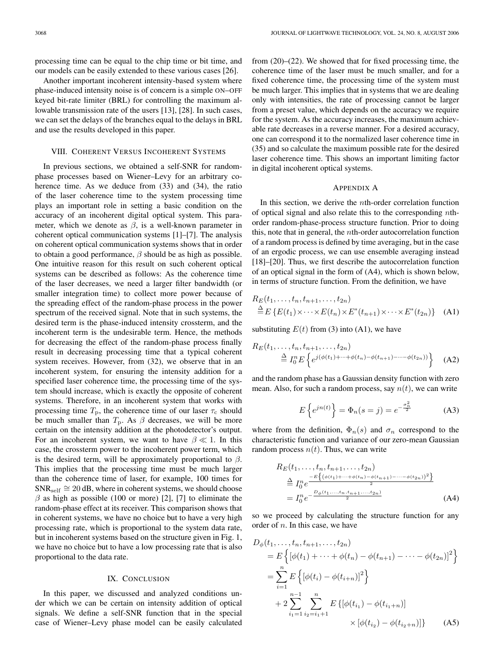processing time can be equal to the chip time or bit time, and our models can be easily extended to these various cases [26].

Another important incoherent intensity-based system where phase-induced intensity noise is of concern is a simple ON–OFF keyed bit-rate limiter (BRL) for controlling the maximum allowable transmission rate of the users [13], [28]. In such cases, we can set the delays of the branches equal to the delays in BRL and use the results developed in this paper.

#### VIII. COHERENT VERSUS INCOHERENT SYSTEMS

In previous sections, we obtained a self-SNR for randomphase processes based on Wiener–Levy for an arbitrary coherence time. As we deduce from (33) and (34), the ratio of the laser coherence time to the system processing time plays an important role in setting a basic condition on the accuracy of an incoherent digital optical system. This parameter, which we denote as  $\beta$ , is a well-known parameter in coherent optical communication systems [1]–[7]. The analysis on coherent optical communication systems shows that in order to obtain a good performance,  $\beta$  should be as high as possible. One intuitive reason for this result on such coherent optical systems can be described as follows: As the coherence time of the laser decreases, we need a larger filter bandwidth (or smaller integration time) to collect more power because of the spreading effect of the random-phase process in the power spectrum of the received signal. Note that in such systems, the desired term is the phase-induced intensity crossterm, and the incoherent term is the undesirable term. Hence, the methods for decreasing the effect of the random-phase process finally result in decreasing processing time that a typical coherent system receives. However, from (32), we observe that in an incoherent system, for ensuring the intensity addition for a specified laser coherence time, the processing time of the system should increase, which is exactly the opposite of coherent systems. Therefore, in an incoherent system that works with processing time  $T_p$ , the coherence time of our laser  $\tau_c$  should be much smaller than  $T_p$ . As  $\beta$  decreases, we will be more certain on the intensity addition at the photodetector's output. For an incoherent system, we want to have  $\beta \ll 1$ . In this case, the crossterm power to the incoherent power term, which is the desired term, will be approximately proportional to  $\beta$ . This implies that the processing time must be much larger than the coherence time of laser, for example, 100 times for  $SNR_{self} \cong 20$  dB, where in coherent systems, we should choose  $\beta$  as high as possible (100 or more) [2], [7] to eliminate the random-phase effect at its receiver. This comparison shows that in coherent systems, we have no choice but to have a very high processing rate, which is proportional to the system data rate, but in incoherent systems based on the structure given in Fig. 1, we have no choice but to have a low processing rate that is also proportional to the data rate.

#### IX. CONCLUSION

In this paper, we discussed and analyzed conditions under which we can be certain on intensity addition of optical signals. We define a self-SNR function that in the special case of Wiener–Levy phase model can be easily calculated from (20)–(22). We showed that for fixed processing time, the coherence time of the laser must be much smaller, and for a fixed coherence time, the processing time of the system must be much larger. This implies that in systems that we are dealing only with intensities, the rate of processing cannot be larger from a preset value, which depends on the accuracy we require for the system. As the accuracy increases, the maximum achievable rate decreases in a reverse manner. For a desired accuracy, one can correspond it to the normalized laser coherence time in (35) and so calculate the maximum possible rate for the desired laser coherence time. This shows an important limiting factor in digital incoherent optical systems.

# APPENDIX A

In this section, we derive the *th-order correlation function* of optical signal and also relate this to the corresponding nthorder random-phase-process structure function. Prior to doing this, note that in general, the nth-order autocorrelation function of a random process is defined by time averaging, but in the case of an ergodic process, we can use ensemble averaging instead [18]–[20]. Thus, we first describe the autocorrelation function of an optical signal in the form of (A4), which is shown below, in terms of structure function. From the definition, we have

$$
R_E(t_1,\ldots,t_n,t_{n+1},\ldots,t_{2n})
$$
  
\n
$$
\stackrel{\Delta}{=} E\left\{E(t_1)\times\cdots\times E(t_n)\times E^*(t_{n+1})\times\cdots\times E^*(t_{2n})\right\}
$$
 (A1)

substituting  $E(t)$  from (3) into (A1), we have

$$
R_E(t_1, ..., t_n, t_{n+1}, ..., t_{2n})
$$
  
\n
$$
\stackrel{\Delta}{=} I_0^n E \left\{ e^{j(\phi(t_1) + ... + \phi(t_n) - \phi(t_{n+1}) - ... - \phi(t_{2n}))} \right\}
$$
 (A2)

and the random phase has a Gaussian density function with zero mean. Also, for such a random process, say  $n(t)$ , we can write

$$
E\left\{e^{jn(t)}\right\} = \Phi_n(s=j) = e^{-\frac{\sigma_n^2}{2}} \tag{A3}
$$

where from the definition,  $\Phi_n(s)$  and  $\sigma_n$  correspond to the characteristic function and variance of our zero-mean Gaussian random process  $n(t)$ . Thus, we can write

$$
R_E(t_1, \ldots, t_n, t_{n+1}, \ldots, t_{2n})
$$
  
\n
$$
\stackrel{\triangle}{=} I_0^n e^{-\frac{E\{(\phi(t_1) + \cdots + \phi(t_n) - \phi(t_{n+1}) - \cdots - \phi(t_{2n}))^2\}}{2}}
$$
  
\n
$$
= I_0^n e^{-\frac{D_\phi(t_1, \ldots, t_n, t_{n+1}, \ldots, t_{2n})}{2}}
$$
\n(A4)

so we proceed by calculating the structure function for any order of  $n$ . In this case, we have

$$
D_{\phi}(t_1, ..., t_n, t_{n+1}, ..., t_{2n})
$$
  
=  $E\left\{ [\phi(t_1) + ... + \phi(t_n) - \phi(t_{n+1}) - ... - \phi(t_{2n})]^2 \right\}$   
=  $\sum_{i=1}^n E\left\{ [\phi(t_i) - \phi(t_{i+n})]^2 \right\}$   
+  $2 \sum_{i_1=1}^{n-1} \sum_{i_2=i_1+1}^n E\left\{ [\phi(t_{i_1}) - \phi(t_{i_1+n})] \right\}$   $\times [\phi(t_{i_2}) - \phi(t_{i_2+n})] \right\}$  (A5)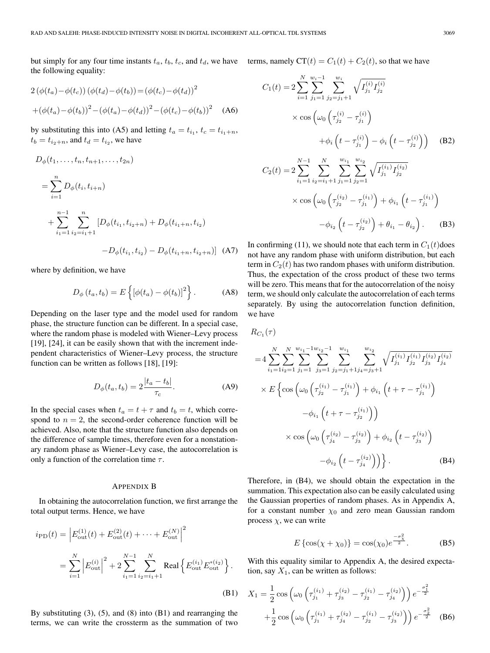but simply for any four time instants  $t_a$ ,  $t_b$ ,  $t_c$ , and  $t_d$ , we have terms, namely  $CT(t) = C_1(t) + C_2(t)$ , so that we have the following equality:

$$
2(\phi(t_a) - \phi(t_c))(\phi(t_d) - \phi(t_b)) = (\phi(t_c) - \phi(t_d))^2
$$
  
 
$$
+(\phi(t_a) - \phi(t_b))^2 - (\phi(t_a) - \phi(t_d))^2 - (\phi(t_c) - \phi(t_b))^2
$$
 (A6)

by substituting this into (A5) and letting  $t_a = t_{i_1}, t_c = t_{i_1+n}$ ,  $t_b = t_{i_2+n}$ , and  $t_d = t_{i_2}$ , we have

$$
D_{\phi}(t_1, \dots, t_n, t_{n+1}, \dots, t_{2n})
$$
  
= 
$$
\sum_{i=1}^n D_{\phi}(t_i, t_{i+n})
$$
  
+ 
$$
\sum_{i_1=1}^{n-1} \sum_{i_2=i_1+1}^n [D_{\phi}(t_{i_1}, t_{i_2+n}) + D_{\phi}(t_{i_1+n}, t_{i_2}) - D_{\phi}(t_{i_1+n}, t_{i_2+n})] (A7)
$$

where by definition, we have

$$
D_{\phi}(t_a, t_b) = E\left\{ [\phi(t_a) - \phi(t_b)]^2 \right\}.
$$
 (A8)

Depending on the laser type and the model used for random phase, the structure function can be different. In a special case, where the random phase is modeled with Wiener–Levy process [19], [24], it can be easily shown that with the increment independent characteristics of Wiener–Levy process, the structure function can be written as follows [18], [19]:

$$
D_{\phi}(t_a, t_b) = 2 \frac{|t_a - t_b|}{\tau_c}.
$$
 (A9)

In the special cases when  $t_a = t + \tau$  and  $t_b = t$ , which correspond to  $n = 2$ , the second-order coherence function will be achieved. Also, note that the structure function also depends on the difference of sample times, therefore even for a nonstationary random phase as Wiener–Levy case, the autocorrelation is only a function of the correlation time  $\tau$ .

#### APPENDIX B

In obtaining the autocorrelation function, we first arrange the total output terms. Hence, we have

$$
i_{\rm PD}(t) = \left| E_{\rm out}^{(1)}(t) + E_{\rm out}^{(2)}(t) + \dots + E_{\rm out}^{(N)} \right|^2
$$
  
= 
$$
\sum_{i=1}^{N} \left| E_{\rm out}^{(i)} \right|^2 + 2 \sum_{i_1=1}^{N-1} \sum_{i_2=i_1+1}^{N} \text{Real} \left\{ E_{\rm out}^{(i_1)} E_{\rm out}^{*(i_2)} \right\}.
$$
  
(B1)

By substituting  $(3)$ ,  $(5)$ , and  $(8)$  into  $(B1)$  and rearranging the terms, we can write the crossterm as the summation of two

$$
C_{1}(t) = 2 \sum_{i=1}^{N} \sum_{j_{1}=1}^{w_{i}-1} \sum_{j_{2}=j_{1}+1}^{w_{i}} \sqrt{I_{j_{1}}^{(i)} I_{j_{2}}^{(i)}}
$$
  
\n
$$
\times \cos \left(\omega_{0} \left(\tau_{j_{2}}^{(i)} - \tau_{j_{1}}^{(i)}\right) + \phi_{i} \left(t - \tau_{j_{2}}^{(i)}\right)\right) \quad (B2)
$$
  
\n
$$
C_{2}(t) = 2 \sum_{i_{1}=1}^{N-1} \sum_{i_{2}=i_{1}+1}^{N} \sum_{j_{1}=1}^{w_{i_{1}}} \sum_{j_{2}=1}^{w_{i_{2}}} \sqrt{I_{j_{1}}^{(i_{1})} I_{j_{2}}^{(i_{2})}}
$$
  
\n
$$
\times \cos \left(\omega_{0} \left(\tau_{j_{2}}^{(i_{2})} - \tau_{j_{1}}^{(i_{1})}\right) + \phi_{i_{1}} \left(t - \tau_{j_{1}}^{(i_{1})}\right) - \phi_{i_{2}} \left(t - \tau_{j_{2}}^{(i_{2})}\right) + \theta_{i_{1}} - \theta_{i_{2}}\right).
$$
  
\n(B3)

In confirming (11), we should note that each term in  $C_1(t)$  does not have any random phase with uniform distribution, but each term in  $C_2(t)$  has two random phases with uniform distribution. Thus, the expectation of the cross product of these two terms will be zero. This means that for the autocorrelation of the noisy term, we should only calculate the autocorrelation of each terms separately. By using the autocorrelation function definition, we have

 $R_{C_1}(\tau)$ 

$$
=4\sum_{i_1=1}^{N}\sum_{i_2=1}^{N}\sum_{j_1=1}^{w_{i_1}-1}\sum_{j_3=1}^{w_{i_2}}\sum_{j_2=j_1+1}^{w_{i_1}}\sum_{j_4=j_3+1}^{w_{i_2}}\sqrt{I_{j_1}^{(i_1)}I_{j_2}^{(i_1)}I_{j_3}^{(i_2)}I_{j_4}^{(i_2)}}\times E\left\{\cos\left(\omega_0\left(\tau_{j_2}^{(i_1)}-\tau_{j_1}^{(i_1)}\right)+\phi_{i_1}\left(t+\tau-\tau_{j_1}^{(i_1)}\right)\right) -\phi_{i_1}\left(t+\tau-\tau_{j_2}^{(i_1)}\right)\right) \times \cos\left(\omega_0\left(\tau_{j_4}^{(i_2)}-\tau_{j_3}^{(i_2)}\right)+\phi_{i_2}\left(t-\tau_{j_3}^{(i_2)}\right)\right) -\phi_{i_2}\left(t-\tau_{j_4}^{(i_2)}\right)\right\}.
$$
 (B4)

Therefore, in (B4), we should obtain the expectation in the summation. This expectation also can be easily calculated using the Gaussian properties of random phases. As in Appendix A, for a constant number  $\chi_0$  and zero mean Gaussian random process  $\chi$ , we can write

$$
E\left\{\cos(\chi + \chi_0)\right\} = \cos(\chi_0)e^{\frac{-\sigma_{\chi}^2}{2}}.
$$
 (B5)

With this equality similar to Appendix A, the desired expectation, say  $X_1$ , can be written as follows:

$$
X_1 = \frac{1}{2} \cos \left( \omega_0 \left( \tau_{j_1}^{(i_1)} + \tau_{j_3}^{(i_2)} - \tau_{j_2}^{(i_1)} - \tau_{j_4}^{(i_2)} \right) \right) e^{-\frac{\sigma_1^2}{2}}
$$

$$
+ \frac{1}{2} \cos \left( \omega_0 \left( \tau_{j_1}^{(i_1)} + \tau_{j_4}^{(i_2)} - \tau_{j_2}^{(i_1)} - \tau_{j_3}^{(i_2)} \right) \right) e^{-\frac{\sigma_2^2}{2}} \quad (B6)
$$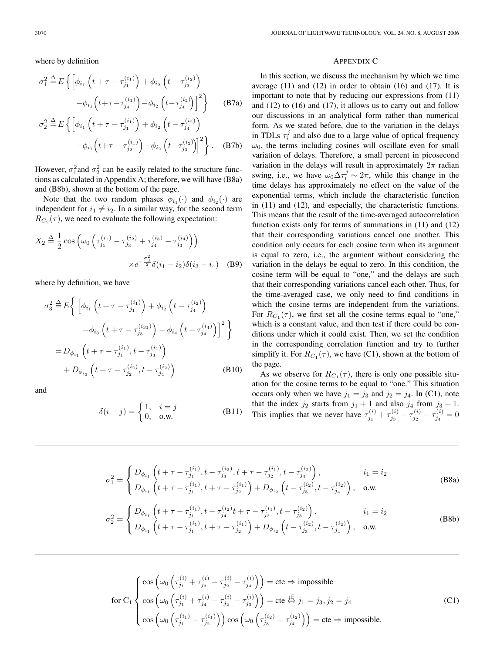where by definition

$$
\sigma_1^2 \stackrel{\Delta}{=} E\left\{ \left[ \phi_{i_1} \left( t + \tau - \tau_{j_1}^{(i_1)} \right) + \phi_{i_2} \left( t - \tau_{j_3}^{(i_2)} \right) \right. \right.\left. - \phi_{i_1} \left( t + \tau - \tau_{j_4}^{(i_1)} \right) - \phi_{i_2} \left( t - \tau_{j_4}^{(i_2)} \right) \right]^2 \right\} \qquad \text{(B7a)}
$$
\n
$$
\sigma_2^2 \stackrel{\Delta}{=} E\left\{ \left[ \phi_{i_1} \left( t + \tau - \tau_{j_1}^{(i_1)} \right) + \phi_{i_2} \left( t - \tau_{j_4}^{(i_2)} \right) \right. \right.
$$

$$
\stackrel{\Delta}{=} E\left\{ \left[ \phi_{i_1} \left( t + \tau - \tau_{j_1}^{(i_1)} \right) + \phi_{i_2} \left( t - \tau_{j_4}^{(i_2)} \right) - \phi_{i_1} \left( t + \tau - \tau_{j_2}^{(i_1)} \right) - \phi_{i_2} \left( t - \tau_{j_3}^{(i_2)} \right) \right]^2 \right\}.
$$
 (B7b)

However,  $\sigma_1^2$  and  $\sigma_2^2$  can be easily related to the structure functions as calculated in Appendix A; therefore, we will have (B8a) and (B8b), shown at the bottom of the page.

Note that the two random phases  $\phi_{i_1}(\cdot)$  and  $\phi_{i_2}(\cdot)$  are independent for  $i_1 \neq i_2$ . In a similar way, for the second term  $R_{C_2}(\tau)$ , we need to evaluate the following expectation:

$$
X_2 \stackrel{\Delta}{=} \frac{1}{2} \cos \left( \omega_0 \left( \tau_{j_1}^{(i_1)} - \tau_{j_3}^{(i_2)} + \tau_{j_4}^{(i_3)} - \tau_{j_3}^{(i_4)} \right) \right) \times e^{-\frac{\sigma_3^2}{2}} \delta(i_1 - i_2) \delta(i_3 - i_4) \quad (B9)
$$

where by definition, we have

$$
\sigma_3^2 \triangleq E \Big\{ \Big[ \phi_{i_1} \left( t + \tau - \tau_{j_1}^{(i_1)} \right) + \phi_{i_2} \left( t - \tau_{j_4}^{(i_2)} \right) -\phi_{i_3} \left( t + \tau - \tau_{j_3}^{(i_3)} \right) - \phi_{i_4} \left( t - \tau_{j_4}^{(i_4)} \right) \Big]^2 \Big\}
$$
  
=  $D_{\phi_{i_1}} \left( t + \tau - \tau_{j_1}^{(i_1)}, t - \tau_{j_3}^{(i_1)} \right) + D_{\phi_{i_3}} \left( t + \tau - \tau_{j_2}^{(i_2)}, t - \tau_{j_4}^{(i_2)} \right) \qquad (B10)$ 

and

$$
\delta(i-j) = \begin{cases} 1, & i=j \\ 0, & \text{o.w.} \end{cases} \tag{B11}
$$

#### APPENDIX C

In this section, we discuss the mechanism by which we time average  $(11)$  and  $(12)$  in order to obtain  $(16)$  and  $(17)$ . It is important to note that by reducing our expressions from (11) and (12) to (16) and (17), it allows us to carry out and follow our discussions in an analytical form rather than numerical form. As we stated before, due to the variation in the delays in TDLs  $\tau_i^j$  and also due to a large value of optical frequency  $\omega_0$ , the terms including cosines will oscillate even for small variation of delays. Therefore, a small percent in picosecond variation in the delays will result in approximately  $2\pi$  radian swing, i.e., we have  $\omega_0 \Delta \tau_i^j \sim 2\pi$ , while this change in the time delays has approximately no effect on the value of the exponential terms, which include the characteristic function in (11) and (12), and especially, the characteristic functions. This means that the result of the time-averaged autocorrelation function exists only for terms of summations in (11) and (12) that their corresponding variations cancel one another. This condition only occurs for each cosine term when its argument is equal to zero, i.e., the argument without considering the variation in the delays be equal to zero. In this condition, the cosine term will be equal to "one," and the delays are such that their corresponding variations cancel each other. Thus, for the time-averaged case, we only need to find conditions in which the cosine terms are independent from the variations. For  $R_{C_1}(\tau)$ , we first set all the cosine terms equal to "one," which is a constant value, and then test if there could be conditions under which it could exist. Then, we set the condition in the corresponding correlation function and try to further simplify it. For  $R_{C_1}(\tau)$ , we have (C1), shown at the bottom of the page.

As we observe for  $R_{C_1}(\tau)$ , there is only one possible situation for the cosine terms to be equal to "one." This situation occurs only when we have  $j_1 = j_3$  and  $j_2 = j_4$ . In (C1), note that the index  $j_2$  starts from  $j_1 + 1$  and also  $j_4$  from  $j_3 + 1$ . This implies that we never have  $\tau_{j_1}^{(i)} + \tau_{j_3}^{(i)} - \tau_{j_2}^{(i)} - \tau_{j_4}^{(i)} = 0$ 

$$
\sigma_1^2 = \begin{cases} D_{\phi_{i_1}}\left(t + \tau - \tau_{j_1}^{(i_1)}, t - \tau_{j_3}^{(i_2)}, t + \tau - \tau_{j_2}^{(i_1)}, t - \tau_{j_4}^{(i_2)}\right), & i_1 = i_2\\ D_{\phi_{i_1}}\left(t + \tau - \tau_{j_1}^{(i_1)}, t + \tau - \tau_{j_2}^{(i_1)}\right) + D_{\phi_{i_2}}\left(t - \tau_{j_3}^{(i_2)}, t - \tau_{j_4}^{(i_2)}\right), & \text{o.w.} \end{cases}
$$
(B8a)

$$
\sigma_2^2 = \begin{cases} D_{\phi_{i_1}}\left(t + \tau - \tau_{j_1}^{(i_1)}, t - \tau_{j_4}^{(i_2)}t + \tau - \tau_{j_2}^{(i_1)}, t - \tau_{j_3}^{(i_2)}\right), & i_1 = i_2\\ D_{\phi_{i_1}}\left(t + \tau - \tau_{j_1}^{(i_1)}, t + \tau - \tau_{j_2}^{(i_1)}\right) + D_{\phi_{i_2}}\left(t - \tau_{j_3}^{(i_2)}, t - \tau_{j_4}^{(i_2)}\right), & \text{o.w.} \end{cases}
$$
(B8b)

$$
\text{for } C_1 \left\{ \begin{aligned} &\cos\left(\omega_0 \left(\tau_{j_1}^{(i)} + \tau_{j_3}^{(i)} - \tau_{j_2}^{(i)} - \tau_{j_4}^{(i)}\right)\right) = \text{cte} \Rightarrow \text{impossible} \\ &\cos\left(\omega_0 \left(\tau_{j_1}^{(i)} + \tau_{j_4}^{(i)} - \tau_{j_2}^{(i)} - \tau_{j_3}^{(i)}\right)\right) = \text{cte} \overset{\text{iff}}{\Leftrightarrow} j_1 = j_3, j_2 = j_4 \\ &\cos\left(\omega_0 \left(\tau_{j_1}^{(i_1)} - \tau_{j_2}^{(i_1)}\right)\right) \cos\left(\omega_0 \left(\tau_{j_3}^{(i_2)} - \tau_{j_4}^{(i_2)}\right)\right) = \text{cte} \Rightarrow \text{impossible.} \end{aligned} \right. \tag{C1}
$$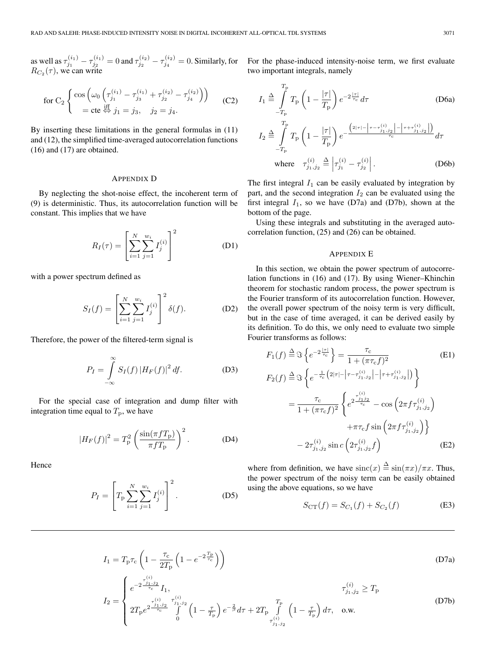as well as  $\tau_{j_1}^{(i_1)} - \tau_{j_2}^{(i_1)} = 0$  and  $\tau_{j_2}^{(i_2)} - \tau_{j_4}^{(i_2)} = 0$ . Similarly, for  $R_{C_2}(\tau)$ , we can write

for C<sub>2</sub> 
$$
\begin{cases} \cos \left( \omega_0 \left( \tau_{j_1}^{(i_1)} - \tau_{j_3}^{(i_1)} + \tau_{j_2}^{(i_2)} - \tau_{j_4}^{(i_2)} \right) \right) \\ = \text{cte} \stackrel{\text{iff}}{\Leftrightarrow} j_1 = j_3, \quad j_2 = j_4. \end{cases}
$$
(C2)

By inserting these limitations in the general formulas in (11) and (12), the simplified time-averaged autocorrelation functions (16) and (17) are obtained.

#### APPENDIX D

By neglecting the shot-noise effect, the incoherent term of (9) is deterministic. Thus, its autocorrelation function will be constant. This implies that we have

$$
R_I(\tau) = \left[ \sum_{i=1}^{N} \sum_{j=1}^{w_i} I_j^{(i)} \right]^2
$$
 (D1)

with a power spectrum defined as

$$
S_I(f) = \left[ \sum_{i=1}^{N} \sum_{j=1}^{w_i} I_j^{(i)} \right]^2 \delta(f).
$$
 (D2)

Therefore, the power of the filtered-term signal is

$$
P_I = \int_{-\infty}^{\infty} S_I(f) |H_F(f)|^2 df.
$$
 (D3)

For the special case of integration and dump filter with integration time equal to  $T_{\rm p}$ , we have

$$
|H_F(f)|^2 = T_P^2 \left(\frac{\sin(\pi f T_P)}{\pi f T_P}\right)^2.
$$
 (D4)

Hence

$$
P_I = \left[ T_{\rm p} \sum_{i=1}^{N} \sum_{j=1}^{w_i} I_j^{(i)} \right]^2.
$$
 (D5)

For the phase-induced intensity-noise term, we first evaluate two important integrals, namely

$$
I_{1} \stackrel{\Delta}{=} \int_{-T_{\rm p}}^{T_{\rm p}} T_{\rm p} \left( 1 - \frac{|\tau|}{T_{\rm p}} \right) e^{-2\frac{|\tau|}{\tau_{\rm c}}} d\tau
$$
 (D6a)

$$
I_2 \triangleq \int_{-T_{\rm p}}^{T_{\rm p}} T_{\rm p} \left( 1 - \frac{|\tau|}{T_{\rm p}} \right) e^{-\frac{\left( 2|\tau| - |\tau - \tau_{j_1, j_2}| - |\tau + \tau_{j_1, j_2}| \right)}{\tau_{\rm c}}} d\tau
$$
\nwhere

\n
$$
\tau_{j_1, j_2}^{(i)} \triangleq \left| \tau_{j_1}^{(i)} - \tau_{j_2}^{(i)} \right|.
$$
\n(D6b)

The first integral  $I_1$  can be easily evaluated by integration by part, and the second integration  $I_2$  can be evaluated using the first integral  $I_1$ , so we have (D7a) and (D7b), shown at the bottom of the page.

Using these integrals and substituting in the averaged autocorrelation function, (25) and (26) can be obtained.

# APPENDIX E

In this section, we obtain the power spectrum of autocorrelation functions in (16) and (17). By using Wiener–Khinchin theorem for stochastic random process, the power spectrum is the Fourier transform of its autocorrelation function. However, the overall power spectrum of the noisy term is very difficult, but in the case of time averaged, it can be derived easily by its definition. To do this, we only need to evaluate two simple Fourier transforms as follows:

$$
F_1(f) \stackrel{\Delta}{=} \Im \left\{ e^{-2\frac{|\tau|}{\tau_c}} \right\} = \frac{\tau_c}{1 + (\pi \tau_c f)^2}
$$
(E1)  
\n
$$
F_2(f) \stackrel{\Delta}{=} \Im \left\{ e^{-\frac{1}{\tau_c} \left( 2|\tau| - |\tau - \tau_{j_1, j_2}| - |\tau + \tau_{j_1, j_2}| \right)} \right\}
$$
  
\n
$$
= \frac{\tau_c}{1 + (\pi \tau_c f)^2} \left\{ e^{2\frac{\tau_{j_1, j_2}}{\tau_c}} - \cos \left( 2\pi f \tau_{j_1, j_2}^{(i)} \right) + \pi \tau_c f \sin \left( 2\pi f \tau_{j_1, j_2}^{(i)} \right) \right\}
$$
  
\n
$$
- 2\tau_{j_1, j_2}^{(i)} \sin c \left( 2\tau_{j_1, j_2}^{(i)} f \right)
$$
(E2)

where from definition, we have  $\operatorname{sinc}(x) \stackrel{\Delta}{=} \sin(\pi x) / \pi x$ . Thus, the power spectrum of the noisy term can be easily obtained using the above equations, so we have

$$
S_{\rm CT}(f) = S_{C_1}(f) + S_{C_2}(f)
$$
 (E3)

$$
I_1 = T_{\rm p} \tau_{\rm c} \left( 1 - \frac{\tau_{\rm c}}{2T_{\rm p}} \left( 1 - e^{-2\frac{T_{\rm p}}{\tau_{\rm c}}} \right) \right)
$$
 (D7a)

$$
I_2 = \begin{cases} e^{-2\frac{\tau_{j_1,j_2}^{(i)}}{\tau_c}} I_1, & \tau_{j_1,j_2}^{(i)} \ge T_p \\ 2T_p e^{-2\frac{\tau_{j_1,j_2}^{(i)}}{\tau_c}} \int\limits_{0}^{\tau_{j_1,j_2}^{(i)}} \left(1 - \frac{\tau}{T_p}\right) e^{-\frac{2}{\beta}} d\tau + 2T_p \int\limits_{\tau_{j_1,j_2}^{(i)}}^{T_p} \left(1 - \frac{\tau}{T_p}\right) d\tau, & \text{o.w.} \end{cases}
$$
(D7b)